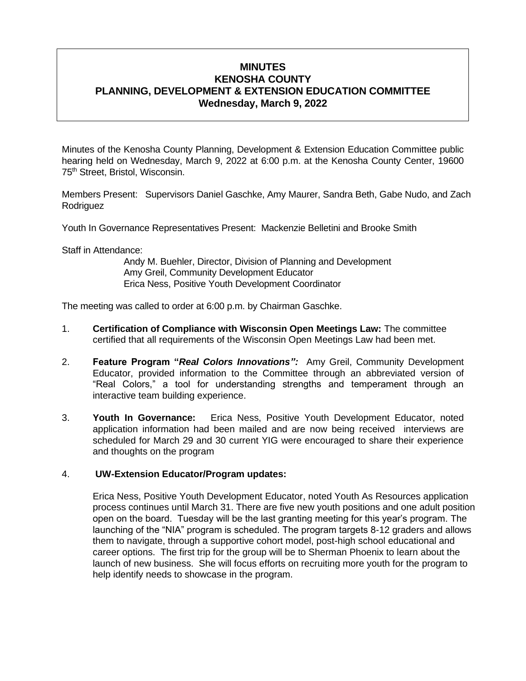# **MINUTES KENOSHA COUNTY PLANNING, DEVELOPMENT & EXTENSION EDUCATION COMMITTEE Wednesday, March 9, 2022**

Minutes of the Kenosha County Planning, Development & Extension Education Committee public hearing held on Wednesday, March 9, 2022 at 6:00 p.m. at the Kenosha County Center, 19600 75th Street, Bristol, Wisconsin.

Members Present: Supervisors Daniel Gaschke, Amy Maurer, Sandra Beth, Gabe Nudo, and Zach Rodriguez

Youth In Governance Representatives Present: Mackenzie Belletini and Brooke Smith

Staff in Attendance:

Andy M. Buehler, Director, Division of Planning and Development Amy Greil, Community Development Educator Erica Ness, Positive Youth Development Coordinator

The meeting was called to order at 6:00 p.m. by Chairman Gaschke.

- 1. **Certification of Compliance with Wisconsin Open Meetings Law:** The committee certified that all requirements of the Wisconsin Open Meetings Law had been met.
- 2. **Feature Program "***Real Colors Innovations":* Amy Greil, Community Development Educator, provided information to the Committee through an abbreviated version of "Real Colors," a tool for understanding strengths and temperament through an interactive team building experience.
- 3. **Youth In Governance:** Erica Ness, Positive Youth Development Educator, noted application information had been mailed and are now being received interviews are scheduled for March 29 and 30 current YIG were encouraged to share their experience and thoughts on the program

## 4. **UW-Extension Educator/Program updates:**

Erica Ness, Positive Youth Development Educator, noted Youth As Resources application process continues until March 31. There are five new youth positions and one adult position open on the board. Tuesday will be the last granting meeting for this year's program. The launching of the "NIA" program is scheduled. The program targets 8-12 graders and allows them to navigate, through a supportive cohort model, post-high school educational and career options. The first trip for the group will be to Sherman Phoenix to learn about the launch of new business. She will focus efforts on recruiting more youth for the program to help identify needs to showcase in the program.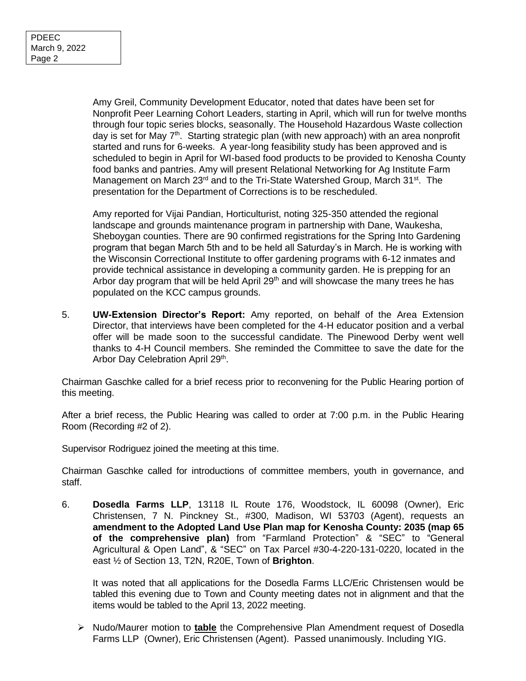Amy Greil, Community Development Educator, noted that dates have been set for Nonprofit Peer Learning Cohort Leaders, starting in April, which will run for twelve months through four topic series blocks, seasonally. The Household Hazardous Waste collection day is set for May  $7<sup>th</sup>$ . Starting strategic plan (with new approach) with an area nonprofit started and runs for 6-weeks. A year-long feasibility study has been approved and is scheduled to begin in April for WI-based food products to be provided to Kenosha County food banks and pantries. Amy will present Relational Networking for Ag Institute Farm Management on March 23<sup>rd</sup> and to the Tri-State Watershed Group, March 31<sup>st</sup>. The presentation for the Department of Corrections is to be rescheduled.

Amy reported for Vijai Pandian, Horticulturist, noting 325-350 attended the regional landscape and grounds maintenance program in partnership with Dane, Waukesha, Sheboygan counties. There are 90 confirmed registrations for the Spring Into Gardening program that began March 5th and to be held all Saturday's in March. He is working with the Wisconsin Correctional Institute to offer gardening programs with 6-12 inmates and provide technical assistance in developing a community garden. He is prepping for an Arbor day program that will be held April  $29<sup>th</sup>$  and will showcase the many trees he has populated on the KCC campus grounds.

5. **UW-Extension Director's Report:** Amy reported, on behalf of the Area Extension Director, that interviews have been completed for the 4-H educator position and a verbal offer will be made soon to the successful candidate. The Pinewood Derby went well thanks to 4-H Council members. She reminded the Committee to save the date for the Arbor Day Celebration April 29<sup>th</sup>.

Chairman Gaschke called for a brief recess prior to reconvening for the Public Hearing portion of this meeting.

After a brief recess, the Public Hearing was called to order at 7:00 p.m. in the Public Hearing Room (Recording #2 of 2).

Supervisor Rodriguez joined the meeting at this time.

Chairman Gaschke called for introductions of committee members, youth in governance, and staff.

6. **Dosedla Farms LLP**, 13118 IL Route 176, Woodstock, IL 60098 (Owner), Eric Christensen, 7 N. Pinckney St., #300, Madison, WI 53703 (Agent), requests an **amendment to the Adopted Land Use Plan map for Kenosha County: 2035 (map 65 of the comprehensive plan)** from "Farmland Protection" & "SEC" to "General Agricultural & Open Land", & "SEC" on Tax Parcel #30-4-220-131-0220, located in the east ½ of Section 13, T2N, R20E, Town of **Brighton**.

It was noted that all applications for the Dosedla Farms LLC/Eric Christensen would be tabled this evening due to Town and County meeting dates not in alignment and that the items would be tabled to the April 13, 2022 meeting.

➢ Nudo/Maurer motion to **table** the Comprehensive Plan Amendment request of Dosedla Farms LLP (Owner), Eric Christensen (Agent). Passed unanimously. Including YIG.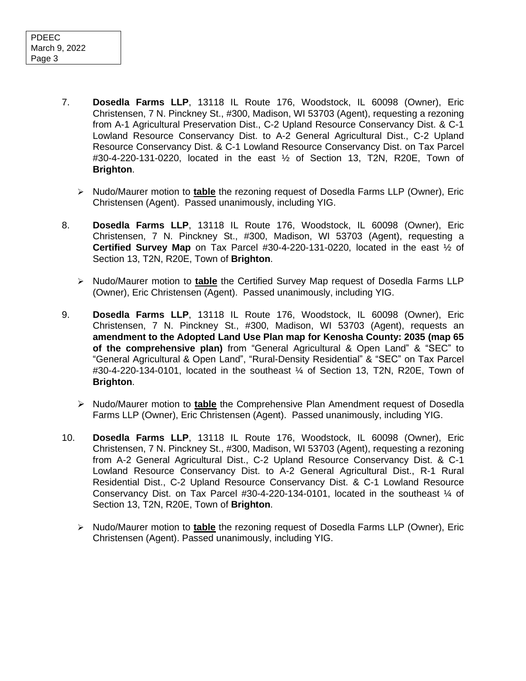- 7. **Dosedla Farms LLP**, 13118 IL Route 176, Woodstock, IL 60098 (Owner), Eric Christensen, 7 N. Pinckney St., #300, Madison, WI 53703 (Agent), requesting a rezoning from A-1 Agricultural Preservation Dist., C-2 Upland Resource Conservancy Dist. & C-1 Lowland Resource Conservancy Dist. to A-2 General Agricultural Dist., C-2 Upland Resource Conservancy Dist. & C-1 Lowland Resource Conservancy Dist. on Tax Parcel #30-4-220-131-0220, located in the east ½ of Section 13, T2N, R20E, Town of **Brighton**.
	- ➢ Nudo/Maurer motion to **table** the rezoning request of Dosedla Farms LLP (Owner), Eric Christensen (Agent). Passed unanimously, including YIG.
- 8. **Dosedla Farms LLP**, 13118 IL Route 176, Woodstock, IL 60098 (Owner), Eric Christensen, 7 N. Pinckney St., #300, Madison, WI 53703 (Agent), requesting a **Certified Survey Map** on Tax Parcel #30-4-220-131-0220, located in the east ½ of Section 13, T2N, R20E, Town of **Brighton**.
	- ➢ Nudo/Maurer motion to **table** the Certified Survey Map request of Dosedla Farms LLP (Owner), Eric Christensen (Agent). Passed unanimously, including YIG.
- 9. **Dosedla Farms LLP**, 13118 IL Route 176, Woodstock, IL 60098 (Owner), Eric Christensen, 7 N. Pinckney St., #300, Madison, WI 53703 (Agent), requests an **amendment to the Adopted Land Use Plan map for Kenosha County: 2035 (map 65 of the comprehensive plan)** from "General Agricultural & Open Land" & "SEC" to "General Agricultural & Open Land", "Rural-Density Residential" & "SEC" on Tax Parcel #30-4-220-134-0101, located in the southeast ¼ of Section 13, T2N, R20E, Town of **Brighton**.
	- ➢ Nudo/Maurer motion to **table** the Comprehensive Plan Amendment request of Dosedla Farms LLP (Owner), Eric Christensen (Agent). Passed unanimously, including YIG.
- 10. **Dosedla Farms LLP**, 13118 IL Route 176, Woodstock, IL 60098 (Owner), Eric Christensen, 7 N. Pinckney St., #300, Madison, WI 53703 (Agent), requesting a rezoning from A-2 General Agricultural Dist., C-2 Upland Resource Conservancy Dist. & C-1 Lowland Resource Conservancy Dist. to A-2 General Agricultural Dist., R-1 Rural Residential Dist., C-2 Upland Resource Conservancy Dist. & C-1 Lowland Resource Conservancy Dist. on Tax Parcel  $#30-4-220-134-0101$ , located in the southeast  $\frac{1}{4}$  of Section 13, T2N, R20E, Town of **Brighton**.
	- ➢ Nudo/Maurer motion to **table** the rezoning request of Dosedla Farms LLP (Owner), Eric Christensen (Agent). Passed unanimously, including YIG.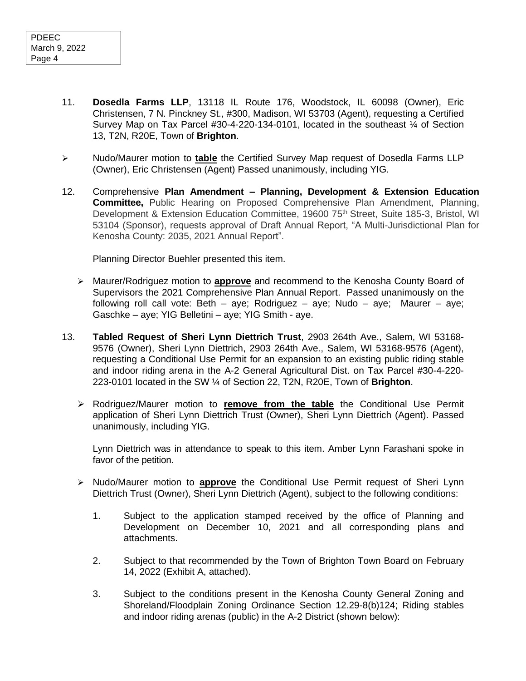- 11. **Dosedla Farms LLP**, 13118 IL Route 176, Woodstock, IL 60098 (Owner), Eric Christensen, 7 N. Pinckney St., #300, Madison, WI 53703 (Agent), requesting a Certified Survey Map on Tax Parcel #30-4-220-134-0101, located in the southeast ¼ of Section 13, T2N, R20E, Town of **Brighton**.
- ➢ Nudo/Maurer motion to **table** the Certified Survey Map request of Dosedla Farms LLP (Owner), Eric Christensen (Agent) Passed unanimously, including YIG.
- 12. Comprehensive **Plan Amendment – Planning, Development & Extension Education Committee,** Public Hearing on Proposed Comprehensive Plan Amendment, Planning, Development & Extension Education Committee, 19600 75<sup>th</sup> Street, Suite 185-3, Bristol, WI 53104 (Sponsor), requests approval of Draft Annual Report, "A Multi-Jurisdictional Plan for Kenosha County: 2035, 2021 Annual Report".

Planning Director Buehler presented this item.

- ➢ Maurer/Rodriguez motion to **approve** and recommend to the Kenosha County Board of Supervisors the 2021 Comprehensive Plan Annual Report. Passed unanimously on the following roll call vote: Beth – aye; Rodriguez – aye; Nudo – aye; Maurer – aye; Gaschke – aye; YIG Belletini – aye; YIG Smith - aye.
- 13. **Tabled Request of Sheri Lynn Diettrich Trust**, 2903 264th Ave., Salem, WI 53168- 9576 (Owner), Sheri Lynn Diettrich, 2903 264th Ave., Salem, WI 53168-9576 (Agent), requesting a Conditional Use Permit for an expansion to an existing public riding stable and indoor riding arena in the A-2 General Agricultural Dist. on Tax Parcel #30-4-220- 223-0101 located in the SW ¼ of Section 22, T2N, R20E, Town of **Brighton**.
	- ➢ Rodriguez/Maurer motion to **remove from the table** the Conditional Use Permit application of Sheri Lynn Diettrich Trust (Owner), Sheri Lynn Diettrich (Agent). Passed unanimously, including YIG.

Lynn Diettrich was in attendance to speak to this item. Amber Lynn Farashani spoke in favor of the petition.

- ➢ Nudo/Maurer motion to **approve** the Conditional Use Permit request of Sheri Lynn Diettrich Trust (Owner), Sheri Lynn Diettrich (Agent), subject to the following conditions:
	- 1. Subject to the application stamped received by the office of Planning and Development on December 10, 2021 and all corresponding plans and attachments.
	- 2. Subject to that recommended by the Town of Brighton Town Board on February 14, 2022 (Exhibit A, attached).
	- 3. Subject to the conditions present in the Kenosha County General Zoning and Shoreland/Floodplain Zoning Ordinance Section 12.29-8(b)124; Riding stables and indoor riding arenas (public) in the A-2 District (shown below):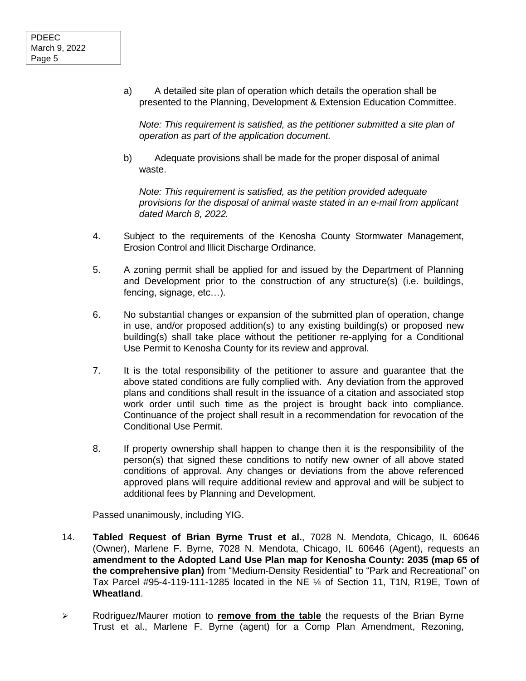a) A detailed site plan of operation which details the operation shall be presented to the Planning, Development & Extension Education Committee.

*Note: This requirement is satisfied, as the petitioner submitted a site plan of operation as part of the application document.*

b) Adequate provisions shall be made for the proper disposal of animal waste.

*Note: This requirement is satisfied, as the petition provided adequate provisions for the disposal of animal waste stated in an e-mail from applicant dated March 8, 2022.*

- 4. Subject to the requirements of the Kenosha County Stormwater Management, Erosion Control and Illicit Discharge Ordinance.
- 5. A zoning permit shall be applied for and issued by the Department of Planning and Development prior to the construction of any structure(s) (i.e. buildings, fencing, signage, etc…).
- 6. No substantial changes or expansion of the submitted plan of operation, change in use, and/or proposed addition(s) to any existing building(s) or proposed new building(s) shall take place without the petitioner re-applying for a Conditional Use Permit to Kenosha County for its review and approval.
- 7. It is the total responsibility of the petitioner to assure and guarantee that the above stated conditions are fully complied with. Any deviation from the approved plans and conditions shall result in the issuance of a citation and associated stop work order until such time as the project is brought back into compliance. Continuance of the project shall result in a recommendation for revocation of the Conditional Use Permit.
- 8. If property ownership shall happen to change then it is the responsibility of the person(s) that signed these conditions to notify new owner of all above stated conditions of approval. Any changes or deviations from the above referenced approved plans will require additional review and approval and will be subject to additional fees by Planning and Development.

Passed unanimously, including YIG.

- 14. **Tabled Request of Brian Byrne Trust et al.**, 7028 N. Mendota, Chicago, IL 60646 (Owner), Marlene F. Byrne, 7028 N. Mendota, Chicago, IL 60646 (Agent), requests an **amendment to the Adopted Land Use Plan map for Kenosha County: 2035 (map 65 of the comprehensive plan)** from "Medium-Density Residential" to "Park and Recreational" on Tax Parcel #95-4-119-111-1285 located in the NE ¼ of Section 11, T1N, R19E, Town of **Wheatland**.
- ➢ Rodriguez/Maurer motion to **remove from the table** the requests of the Brian Byrne Trust et al., Marlene F. Byrne (agent) for a Comp Plan Amendment, Rezoning,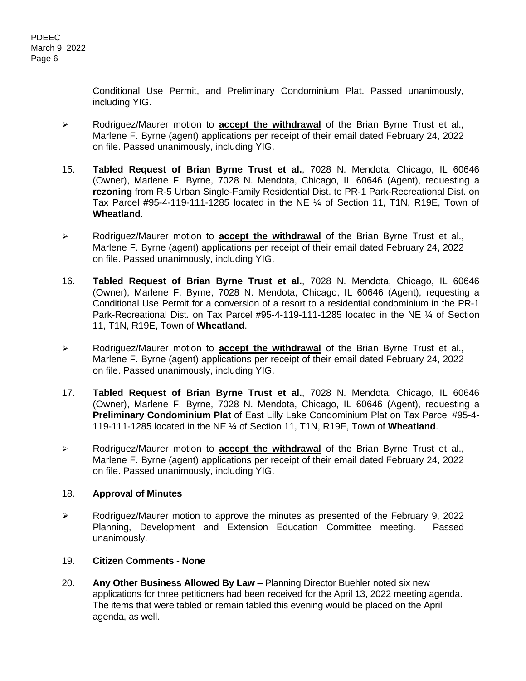Conditional Use Permit, and Preliminary Condominium Plat. Passed unanimously, including YIG.

- ➢ Rodriguez/Maurer motion to **accept the withdrawal** of the Brian Byrne Trust et al., Marlene F. Byrne (agent) applications per receipt of their email dated February 24, 2022 on file. Passed unanimously, including YIG.
- 15. **Tabled Request of Brian Byrne Trust et al.**, 7028 N. Mendota, Chicago, IL 60646 (Owner), Marlene F. Byrne, 7028 N. Mendota, Chicago, IL 60646 (Agent), requesting a **rezoning** from R-5 Urban Single-Family Residential Dist. to PR-1 Park-Recreational Dist. on Tax Parcel #95-4-119-111-1285 located in the NE ¼ of Section 11, T1N, R19E, Town of **Wheatland**.
- ➢ Rodriguez/Maurer motion to **accept the withdrawal** of the Brian Byrne Trust et al., Marlene F. Byrne (agent) applications per receipt of their email dated February 24, 2022 on file. Passed unanimously, including YIG.
- 16. **Tabled Request of Brian Byrne Trust et al.**, 7028 N. Mendota, Chicago, IL 60646 (Owner), Marlene F. Byrne, 7028 N. Mendota, Chicago, IL 60646 (Agent), requesting a Conditional Use Permit for a conversion of a resort to a residential condominium in the PR-1 Park-Recreational Dist. on Tax Parcel #95-4-119-111-1285 located in the NE ¼ of Section 11, T1N, R19E, Town of **Wheatland**.
- ➢ Rodriguez/Maurer motion to **accept the withdrawal** of the Brian Byrne Trust et al., Marlene F. Byrne (agent) applications per receipt of their email dated February 24, 2022 on file. Passed unanimously, including YIG.
- 17. **Tabled Request of Brian Byrne Trust et al.**, 7028 N. Mendota, Chicago, IL 60646 (Owner), Marlene F. Byrne, 7028 N. Mendota, Chicago, IL 60646 (Agent), requesting a **Preliminary Condominium Plat** of East Lilly Lake Condominium Plat on Tax Parcel #95-4- 119-111-1285 located in the NE ¼ of Section 11, T1N, R19E, Town of **Wheatland**.
- ➢ Rodriguez/Maurer motion to **accept the withdrawal** of the Brian Byrne Trust et al., Marlene F. Byrne (agent) applications per receipt of their email dated February 24, 2022 on file. Passed unanimously, including YIG.

## 18. **Approval of Minutes**

➢ Rodriguez/Maurer motion to approve the minutes as presented of the February 9, 2022 Planning, Development and Extension Education Committee meeting. Passed unanimously.

## 19. **Citizen Comments - None**

20. **Any Other Business Allowed By Law –** Planning Director Buehler noted six new applications for three petitioners had been received for the April 13, 2022 meeting agenda. The items that were tabled or remain tabled this evening would be placed on the April agenda, as well.